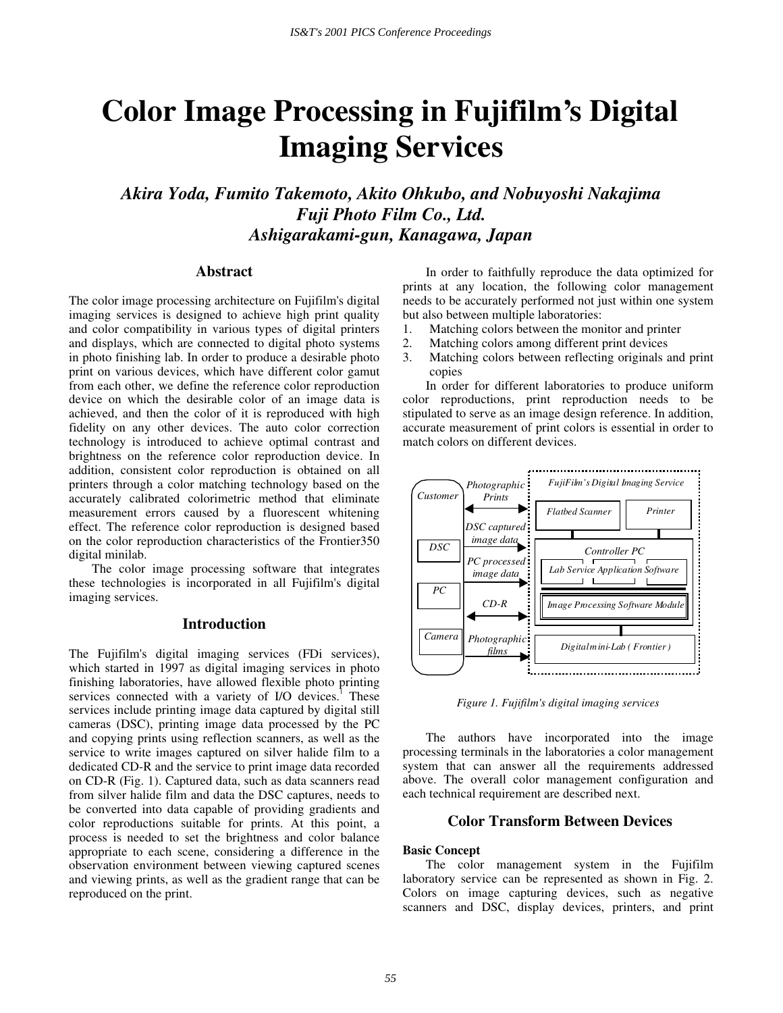# **Color Image Processing in Fujifilm's Digital Imaging Services**

*Akira Yoda, Fumito Takemoto, Akito Ohkubo, and Nobuyoshi Nakajima Fuji Photo Film Co., Ltd. Ashigarakami-gun, Kanagawa, Japan* 

#### **Abstract**

The color image processing architecture on Fujifilm's digital imaging services is designed to achieve high print quality and color compatibility in various types of digital printers and displays, which are connected to digital photo systems in photo finishing lab. In order to produce a desirable photo print on various devices, which have different color gamut from each other, we define the reference color reproduction device on which the desirable color of an image data is achieved, and then the color of it is reproduced with high fidelity on any other devices. The auto color correction technology is introduced to achieve optimal contrast and brightness on the reference color reproduction device. In addition, consistent color reproduction is obtained on all printers through a color matching technology based on the accurately calibrated colorimetric method that eliminate measurement errors caused by a fluorescent whitening effect. The reference color reproduction is designed based on the color reproduction characteristics of the Frontier350 digital minilab.

The color image processing software that integrates these technologies is incorporated in all Fujifilm's digital imaging services.

## **Introduction**

The Fujifilm's digital imaging services (FDi services), which started in 1997 as digital imaging services in photo finishing laboratories, have allowed flexible photo printing services connected with a variety of  $I/O$  devices.<sup>1</sup> These services include printing image data captured by digital still cameras (DSC), printing image data processed by the PC and copying prints using reflection scanners, as well as the service to write images captured on silver halide film to a dedicated CD-R and the service to print image data recorded on CD-R (Fig. 1). Captured data, such as data scanners read from silver halide film and data the DSC captures, needs to be converted into data capable of providing gradients and color reproductions suitable for prints. At this point, a process is needed to set the brightness and color balance appropriate to each scene, considering a difference in the observation environment between viewing captured scenes and viewing prints, as well as the gradient range that can be reproduced on the print.

In order to faithfully reproduce the data optimized for prints at any location, the following color management needs to be accurately performed not just within one system but also between multiple laboratories:

- 1. Matching colors between the monitor and printer
- 2. Matching colors among different print devices<br>3. Matching colors between reflecting originals a
- Matching colors between reflecting originals and print copies

In order for different laboratories to produce uniform color reproductions, print reproduction needs to be stipulated to serve as an image design reference. In addition, accurate measurement of print colors is essential in order to match colors on different devices.



*Figure 1. Fujifilm's digital imaging services* 

The authors have incorporated into the image processing terminals in the laboratories a color management system that can answer all the requirements addressed above. The overall color management configuration and each technical requirement are described next.

# **Color Transform Between Devices**

## **Basic Concept**

The color management system in the Fujifilm laboratory service can be represented as shown in Fig. 2. Colors on image capturing devices, such as negative scanners and DSC, display devices, printers, and print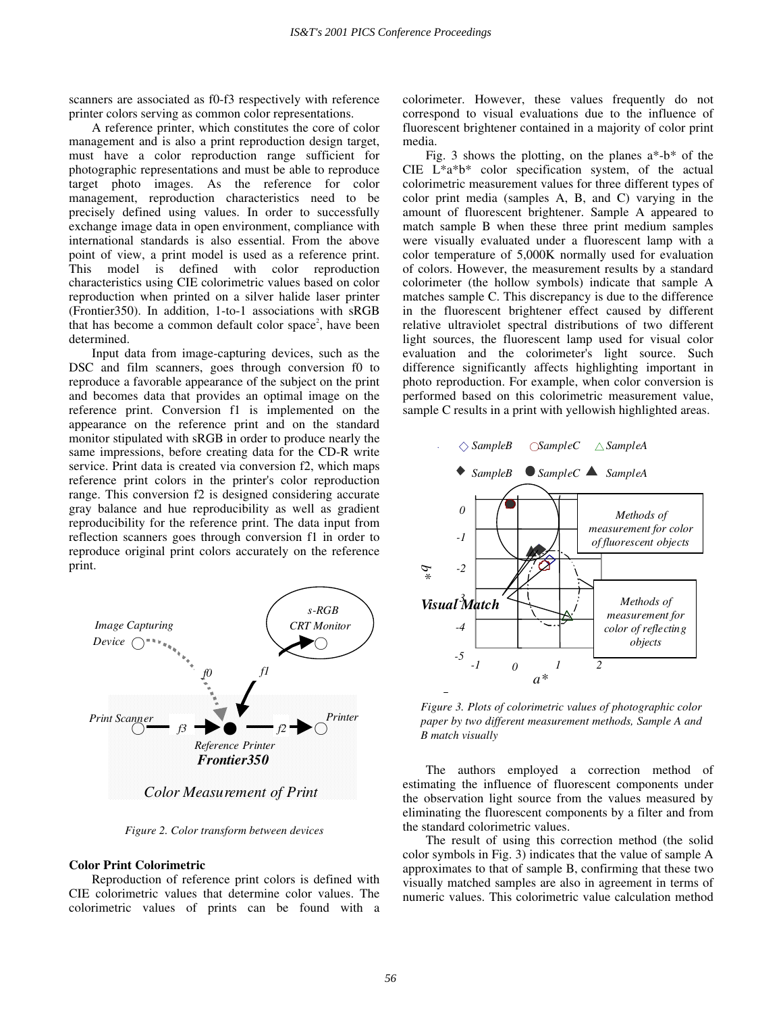scanners are associated as f0-f3 respectively with reference printer colors serving as common color representations.

A reference printer, which constitutes the core of color management and is also a print reproduction design target, must have a color reproduction range sufficient for photographic representations and must be able to reproduce target photo images. As the reference for color management, reproduction characteristics need to be precisely defined using values. In order to successfully exchange image data in open environment, compliance with international standards is also essential. From the above point of view, a print model is used as a reference print. This model is defined with color reproduction characteristics using CIE colorimetric values based on color reproduction when printed on a silver halide laser printer (Frontier350). In addition, 1-to-1 associations with sRGB that has become a common default color space<sup>2</sup>, have been determined.

Input data from image-capturing devices, such as the DSC and film scanners, goes through conversion f0 to reproduce a favorable appearance of the subject on the print and becomes data that provides an optimal image on the reference print. Conversion f1 is implemented on the appearance on the reference print and on the standard monitor stipulated with sRGB in order to produce nearly the same impressions, before creating data for the CD-R write service. Print data is created via conversion f2, which maps reference print colors in the printer's color reproduction range. This conversion f2 is designed considering accurate gray balance and hue reproducibility as well as gradient reproducibility for the reference print. The data input from reflection scanners goes through conversion f1 in order to reproduce original print colors accurately on the reference print.



*Figure 2. Color transform between devices* 

## **Color Print Colorimetric**

Reproduction of reference print colors is defined with CIE colorimetric values that determine color values. The colorimetric values of prints can be found with a colorimeter. However, these values frequently do not correspond to visual evaluations due to the influence of fluorescent brightener contained in a majority of color print media.

Fig. 3 shows the plotting, on the planes  $a^*$ -b\* of the CIE L\*a\*b\* color specification system, of the actual colorimetric measurement values for three different types of color print media (samples A, B, and C) varying in the amount of fluorescent brightener. Sample A appeared to match sample B when these three print medium samples were visually evaluated under a fluorescent lamp with a color temperature of 5,000K normally used for evaluation of colors. However, the measurement results by a standard colorimeter (the hollow symbols) indicate that sample A matches sample C. This discrepancy is due to the difference in the fluorescent brightener effect caused by different relative ultraviolet spectral distributions of two different light sources, the fluorescent lamp used for visual color evaluation and the colorimeter's light source. Such difference significantly affects highlighting important in photo reproduction. For example, when color conversion is performed based on this colorimetric measurement value, sample C results in a print with yellowish highlighted areas.



*Figure 3. Plots of colorimetric values of photographic color paper by two different measurement methods, Sample A and B match visually*

The authors employed a correction method of estimating the influence of fluorescent components under the observation light source from the values measured by eliminating the fluorescent components by a filter and from the standard colorimetric values.

The result of using this correction method (the solid color symbols in Fig. 3) indicates that the value of sample A approximates to that of sample B, confirming that these two visually matched samples are also in agreement in terms of numeric values. This colorimetric value calculation method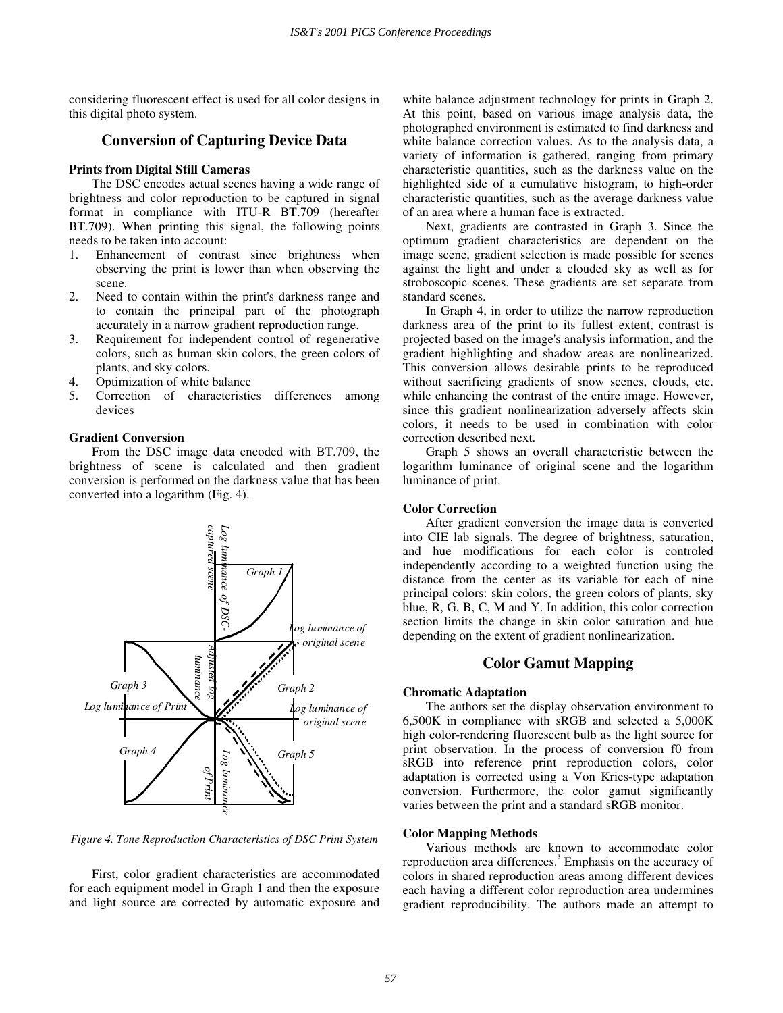considering fluorescent effect is used for all color designs in this digital photo system.

# **Conversion of Capturing Device Data**

# **Prints from Digital Still Cameras**

The DSC encodes actual scenes having a wide range of brightness and color reproduction to be captured in signal format in compliance with ITU-R BT.709 (hereafter BT.709). When printing this signal, the following points needs to be taken into account:

- 1. Enhancement of contrast since brightness when observing the print is lower than when observing the scene.
- 2. Need to contain within the print's darkness range and to contain the principal part of the photograph accurately in a narrow gradient reproduction range.
- 3. Requirement for independent control of regenerative colors, such as human skin colors, the green colors of plants, and sky colors.
- 4. Optimization of white balance
- 5. Correction of characteristics differences among devices

#### **Gradient Conversion**

From the DSC image data encoded with BT.709, the brightness of scene is calculated and then gradient conversion is performed on the darkness value that has been converted into a logarithm (Fig. 4).



*Figure 4. Tone Reproduction Characteristics of DSC Print System* 

First, color gradient characteristics are accommodated for each equipment model in Graph 1 and then the exposure and light source are corrected by automatic exposure and white balance adjustment technology for prints in Graph 2. At this point, based on various image analysis data, the photographed environment is estimated to find darkness and white balance correction values. As to the analysis data, a variety of information is gathered, ranging from primary characteristic quantities, such as the darkness value on the highlighted side of a cumulative histogram, to high-order characteristic quantities, such as the average darkness value of an area where a human face is extracted.

Next, gradients are contrasted in Graph 3. Since the optimum gradient characteristics are dependent on the image scene, gradient selection is made possible for scenes against the light and under a clouded sky as well as for stroboscopic scenes. These gradients are set separate from standard scenes.

In Graph 4, in order to utilize the narrow reproduction darkness area of the print to its fullest extent, contrast is projected based on the image's analysis information, and the gradient highlighting and shadow areas are nonlinearized. This conversion allows desirable prints to be reproduced without sacrificing gradients of snow scenes, clouds, etc. while enhancing the contrast of the entire image. However, since this gradient nonlinearization adversely affects skin colors, it needs to be used in combination with color correction described next.

Graph 5 shows an overall characteristic between the logarithm luminance of original scene and the logarithm luminance of print.

#### **Color Correction**

After gradient conversion the image data is converted into CIE lab signals. The degree of brightness, saturation, and hue modifications for each color is controled independently according to a weighted function using the distance from the center as its variable for each of nine principal colors: skin colors, the green colors of plants, sky blue, R, G, B, C, M and Y. In addition, this color correction section limits the change in skin color saturation and hue depending on the extent of gradient nonlinearization.

# **Color Gamut Mapping**

#### **Chromatic Adaptation**

The authors set the display observation environment to 6,500K in compliance with sRGB and selected a 5,000K high color-rendering fluorescent bulb as the light source for print observation. In the process of conversion f0 from sRGB into reference print reproduction colors, color adaptation is corrected using a Von Kries-type adaptation conversion. Furthermore, the color gamut significantly varies between the print and a standard sRGB monitor.

#### **Color Mapping Methods**

Various methods are known to accommodate color reproduction area differences.<sup>3</sup> Emphasis on the accuracy of colors in shared reproduction areas among different devices each having a different color reproduction area undermines gradient reproducibility. The authors made an attempt to